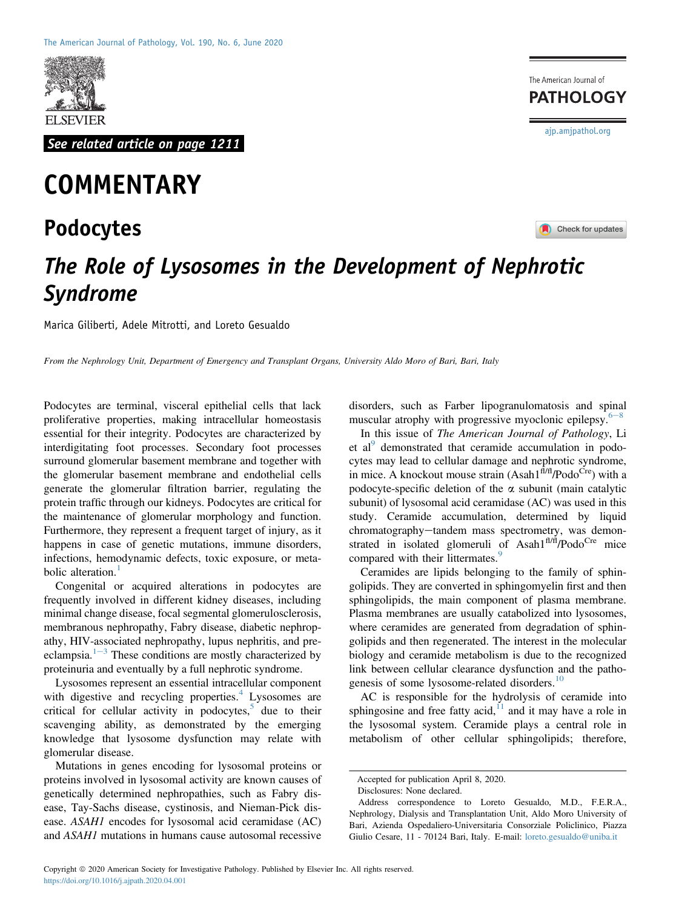

See related article on page 1211

## **COMMENTARY**

## Podocytes

The American Journal of **PATHOLOGY** [ajp.amjpathol.org](http://ajp.amjpathol.org)

Check for updates

## The Role of Lysosomes in the Development of Nephrotic Syndrome

Marica Giliberti, Adele Mitrotti, and Loreto Gesualdo

From the Nephrology Unit, Department of Emergency and Transplant Organs, University Aldo Moro of Bari, Bari, Italy

Podocytes are terminal, visceral epithelial cells that lack proliferative properties, making intracellular homeostasis essential for their integrity. Podocytes are characterized by interdigitating foot processes. Secondary foot processes surround glomerular basement membrane and together with the glomerular basement membrane and endothelial cells generate the glomerular filtration barrier, regulating the protein traffic through our kidneys. Podocytes are critical for the maintenance of glomerular morphology and function. Furthermore, they represent a frequent target of injury, as it happens in case of genetic mutations, immune disorders, infections, hemodynamic defects, toxic exposure, or meta-bolic alteration.<sup>[1](#page-2-0)</sup>

Congenital or acquired alterations in podocytes are frequently involved in different kidney diseases, including minimal change disease, focal segmental glomerulosclerosis, membranous nephropathy, Fabry disease, diabetic nephropathy, HIV-associated nephropathy, lupus nephritis, and preeclampsia. $1-3$  $1-3$  $1-3$  These conditions are mostly characterized by proteinuria and eventually by a full nephrotic syndrome.

Lysosomes represent an essential intracellular component with digestive and recycling properties.<sup>[4](#page-2-1)</sup> Lysosomes are critical for cellular activity in podocytes, $5$  due to their scavenging ability, as demonstrated by the emerging knowledge that lysosome dysfunction may relate with glomerular disease.

Mutations in genes encoding for lysosomal proteins or proteins involved in lysosomal activity are known causes of genetically determined nephropathies, such as Fabry disease, Tay-Sachs disease, cystinosis, and Nieman-Pick disease. ASAH1 encodes for lysosomal acid ceramidase (AC) and ASAH1 mutations in humans cause autosomal recessive

disorders, such as Farber lipogranulomatosis and spinal muscular atrophy with progressive myoclonic epilepsy. $6-8$  $6-8$ 

In this issue of The American Journal of Pathology, Li et al<sup>[9](#page-2-4)</sup> demonstrated that ceramide accumulation in podocytes may lead to cellular damage and nephrotic syndrome, in mice. A knockout mouse strain  $(A<sub>s</sub>ah1<sup>fl/H</sup>/Podo<sup>Cre</sup>)$  with a podocyte-specific deletion of the  $\alpha$  subunit (main catalytic subunit) of lysosomal acid ceramidase (AC) was used in this study. Ceramide accumulation, determined by liquid chromatography-tandem mass spectrometry, was demonstrated in isolated glomeruli of Asah1<sup>fl/fl</sup>/Podo<sup>Cre</sup> mice compared with their littermates.<sup>[9](#page-2-4)</sup>

Ceramides are lipids belonging to the family of sphingolipids. They are converted in sphingomyelin first and then sphingolipids, the main component of plasma membrane. Plasma membranes are usually catabolized into lysosomes, where ceramides are generated from degradation of sphingolipids and then regenerated. The interest in the molecular biology and ceramide metabolism is due to the recognized link between cellular clearance dysfunction and the patho-genesis of some lysosome-related disorders.<sup>[10](#page-2-5)</sup>

AC is responsible for the hydrolysis of ceramide into sphingosine and free fatty acid, $1/1$  and it may have a role in the lysosomal system. Ceramide plays a central role in metabolism of other cellular sphingolipids; therefore,

Accepted for publication April 8, 2020.

Disclosures: None declared.

Address correspondence to Loreto Gesualdo, M.D., F.E.R.A., Nephrology, Dialysis and Transplantation Unit, Aldo Moro University of Bari, Azienda Ospedaliero-Universitaria Consorziale Policlinico, Piazza Giulio Cesare, 11 - 70124 Bari, Italy. E-mail: [loreto.gesualdo@uniba.it](mailto:loreto.gesualdo@uniba.it)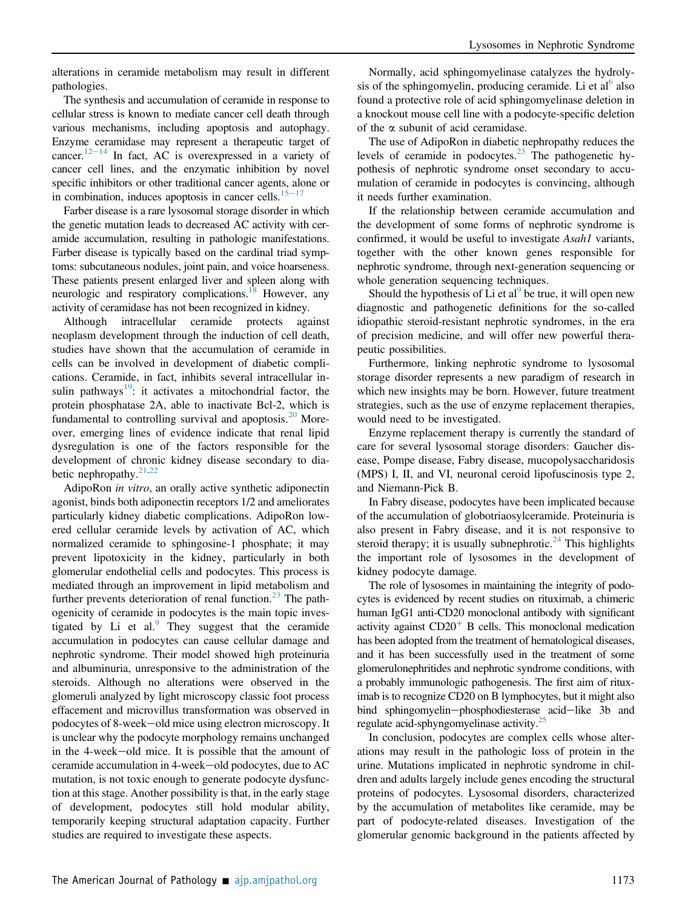alterations in ceramide metabolism may result in different pathologies.

The synthesis and accumulation of ceramide in response to cellular stress is known to mediate cancer cell death through various mechanisms, including apoptosis and autophagy. Enzyme ceramidase may represent a therapeutic target of cancer.<sup>12–[14](#page-2-7)</sup> In fact, AC is overexpressed in a variety of cancer cell lines, and the enzymatic inhibition by novel specific inhibitors or other traditional cancer agents, alone or in combination, induces apoptosis in cancer cells. $15-17$  $15-17$  $15-17$ 

Farber disease is a rare lysosomal storage disorder in which the genetic mutation leads to decreased AC activity with ceramide accumulation, resulting in pathologic manifestations. Farber disease is typically based on the cardinal triad symptoms: subcutaneous nodules, joint pain, and voice hoarseness. These patients present enlarged liver and spleen along with neurologic and respiratory complications.<sup>18</sup> However, any activity of ceramidase has not been recognized in kidney.

Although intracellular ceramide protects against neoplasm development through the induction of cell death, studies have shown that the accumulation of ceramide in cells can be involved in development of diabetic complications. Ceramide, in fact, inhibits several intracellular in-sulin pathways<sup>[19](#page-2-10)</sup>: it activates a mitochondrial factor, the protein phosphatase 2A, able to inactivate Bcl-2, which is fundamental to controlling survival and apoptosis. $20$  Moreover, emerging lines of evidence indicate that renal lipid dysregulation is one of the factors responsible for the development of chronic kidney disease secondary to dia-betic nephropathy.<sup>[21,](#page-2-12)[22](#page-2-13)</sup>

AdipoRon in vitro, an orally active synthetic adiponectin agonist, binds both adiponectin receptors 1/2 and ameliorates particularly kidney diabetic complications. AdipoRon lowered cellular ceramide levels by activation of AC, which normalized ceramide to sphingosine-1 phosphate; it may prevent lipotoxicity in the kidney, particularly in both glomerular endothelial cells and podocytes. This process is mediated through an improvement in lipid metabolism and further prevents deterioration of renal function.<sup>[23](#page-2-14)</sup> The pathogenicity of ceramide in podocytes is the main topic investigated by Li et al. $\frac{9}{2}$  $\frac{9}{2}$  $\frac{9}{2}$  They suggest that the ceramide accumulation in podocytes can cause cellular damage and nephrotic syndrome. Their model showed high proteinuria and albuminuria, unresponsive to the administration of the steroids. Although no alterations were observed in the glomeruli analyzed by light microscopy classic foot process effacement and microvillus transformation was observed in podocytes of 8-week-old mice using electron microscopy. It is unclear why the podocyte morphology remains unchanged in the 4-week-old mice. It is possible that the amount of ceramide accumulation in 4-week-old podocytes, due to  $AC$ mutation, is not toxic enough to generate podocyte dysfunction at this stage. Another possibility is that, in the early stage of development, podocytes still hold modular ability, temporarily keeping structural adaptation capacity. Further studies are required to investigate these aspects.

Normally, acid sphingomyelinase catalyzes the hydroly-sis of the sphingomyelin, producing ceramide. Li et al<sup>[6](#page-2-3)</sup> also found a protective role of acid sphingomyelinase deletion in a knockout mouse cell line with a podocyte-specific deletion of the  $\alpha$  subunit of acid ceramidase.

The use of AdipoRon in diabetic nephropathy reduces the levels of ceramide in podocytes. $23$  The pathogenetic hypothesis of nephrotic syndrome onset secondary to accumulation of ceramide in podocytes is convincing, although it needs further examination.

If the relationship between ceramide accumulation and the development of some forms of nephrotic syndrome is confirmed, it would be useful to investigate Asah1 variants, together with the other known genes responsible for nephrotic syndrome, through next-generation sequencing or whole generation sequencing techniques.

Should the hypothesis of Li et al<sup>[9](#page-2-4)</sup> be true, it will open new diagnostic and pathogenetic definitions for the so-called idiopathic steroid-resistant nephrotic syndromes, in the era of precision medicine, and will offer new powerful therapeutic possibilities.

Furthermore, linking nephrotic syndrome to lysosomal storage disorder represents a new paradigm of research in which new insights may be born. However, future treatment strategies, such as the use of enzyme replacement therapies, would need to be investigated.

Enzyme replacement therapy is currently the standard of care for several lysosomal storage disorders: Gaucher disease, Pompe disease, Fabry disease, mucopolysaccharidosis (MPS) I, II, and VI, neuronal ceroid lipofuscinosis type 2, and Niemann-Pick B.

In Fabry disease, podocytes have been implicated because of the accumulation of globotriaosylceramide. Proteinuria is also present in Fabry disease, and it is not responsive to steroid therapy; it is usually subnephrotic.<sup>[24](#page-2-15)</sup> This highlights the important role of lysosomes in the development of kidney podocyte damage.

The role of lysosomes in maintaining the integrity of podocytes is evidenced by recent studies on rituximab, a chimeric human IgG1 anti-CD20 monoclonal antibody with significant activity against  $CD20<sup>+</sup>$  B cells. This monoclonal medication has been adopted from the treatment of hematological diseases, and it has been successfully used in the treatment of some glomerulonephritides and nephrotic syndrome conditions, with a probably immunologic pathogenesis. The first aim of rituximab is to recognize CD20 on B lymphocytes, but it might also bind sphingomyelin-phosphodiesterase acid-like 3b and regulate acid-sphyngomyelinase activity.<sup>25</sup>

In conclusion, podocytes are complex cells whose alterations may result in the pathologic loss of protein in the urine. Mutations implicated in nephrotic syndrome in children and adults largely include genes encoding the structural proteins of podocytes. Lysosomal disorders, characterized by the accumulation of metabolites like ceramide, may be part of podocyte-related diseases. Investigation of the glomerular genomic background in the patients affected by